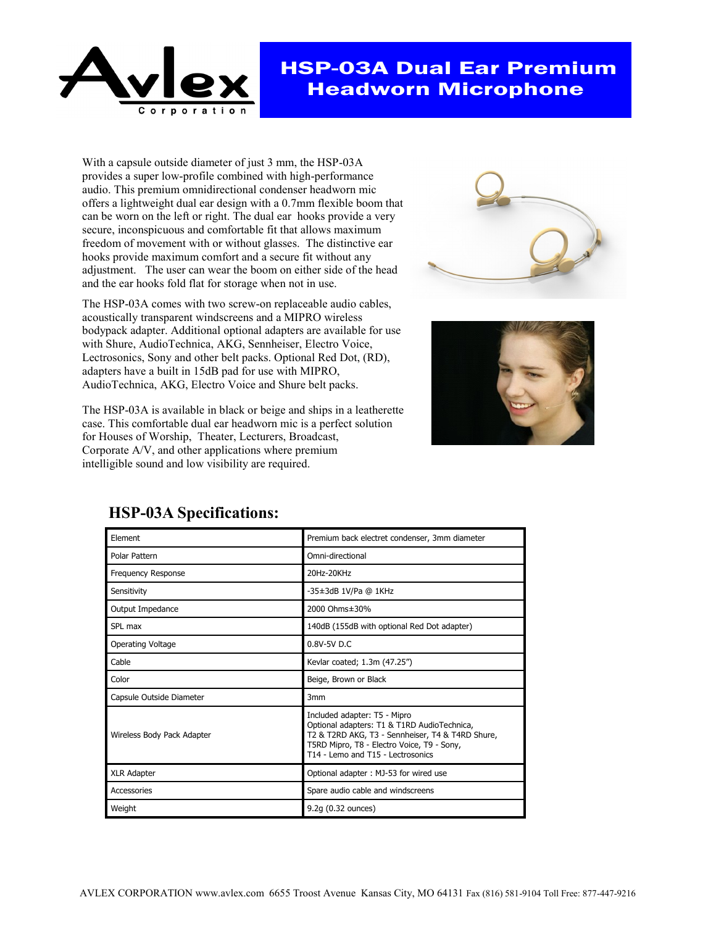

## HSP-03A Dual Ear Premium Headworn Microphone

With a capsule outside diameter of just 3 mm, the HSP-03A provides a super low-profile combined with high-performance audio. This premium omnidirectional condenser headworn mic offers a lightweight dual ear design with a 0.7mm flexible boom that can be worn on the left or right. The dual ear hooks provide a very secure, inconspicuous and comfortable fit that allows maximum freedom of movement with or without glasses. The distinctive ear hooks provide maximum comfort and a secure fit without any adjustment. The user can wear the boom on either side of the head and the ear hooks fold flat for storage when not in use.

The HSP-03A comes with two screw-on replaceable audio cables, acoustically transparent windscreens and a MIPRO wireless bodypack adapter. Additional optional adapters are available for use with Shure, AudioTechnica, AKG, Sennheiser, Electro Voice, Lectrosonics, Sony and other belt packs. Optional Red Dot, (RD), adapters have a built in 15dB pad for use with MIPRO, AudioTechnica, AKG, Electro Voice and Shure belt packs.

The HSP-03A is available in black or beige and ships in a leatherette case. This comfortable dual ear headworn mic is a perfect solution for Houses of Worship, Theater, Lecturers, Broadcast, Corporate A/V, and other applications where premium intelligible sound and low visibility are required.





| Element                    | Premium back electret condenser, 3mm diameter                                                                                                                                                                      |
|----------------------------|--------------------------------------------------------------------------------------------------------------------------------------------------------------------------------------------------------------------|
| Polar Pattern              | Omni-directional                                                                                                                                                                                                   |
| <b>Frequency Response</b>  | 20Hz-20KHz                                                                                                                                                                                                         |
| Sensitivity                | -35±3dB 1V/Pa @ 1KHz                                                                                                                                                                                               |
| Output Impedance           | 2000 Ohms±30%                                                                                                                                                                                                      |
| SPL max                    | 140dB (155dB with optional Red Dot adapter)                                                                                                                                                                        |
| Operating Voltage          | $0.8V - 5V$ D.C                                                                                                                                                                                                    |
| Cable                      | Kevlar coated; 1.3m (47.25")                                                                                                                                                                                       |
| Color                      | Beige, Brown or Black                                                                                                                                                                                              |
| Capsule Outside Diameter   | 3 <sub>mm</sub>                                                                                                                                                                                                    |
| Wireless Body Pack Adapter | Included adapter: T5 - Mipro<br>Optional adapters: T1 & T1RD AudioTechnica,<br>T2 & T2RD AKG, T3 - Sennheiser, T4 & T4RD Shure,<br>T5RD Mipro, T8 - Electro Voice, T9 - Sony,<br>T14 - Lemo and T15 - Lectrosonics |
| <b>XLR Adapter</b>         | Optional adapter: MJ-53 for wired use                                                                                                                                                                              |
| Accessories                | Spare audio cable and windscreens                                                                                                                                                                                  |
| Weight                     | 9.2g (0.32 ounces)                                                                                                                                                                                                 |

## **HSP-03A Specifications:**